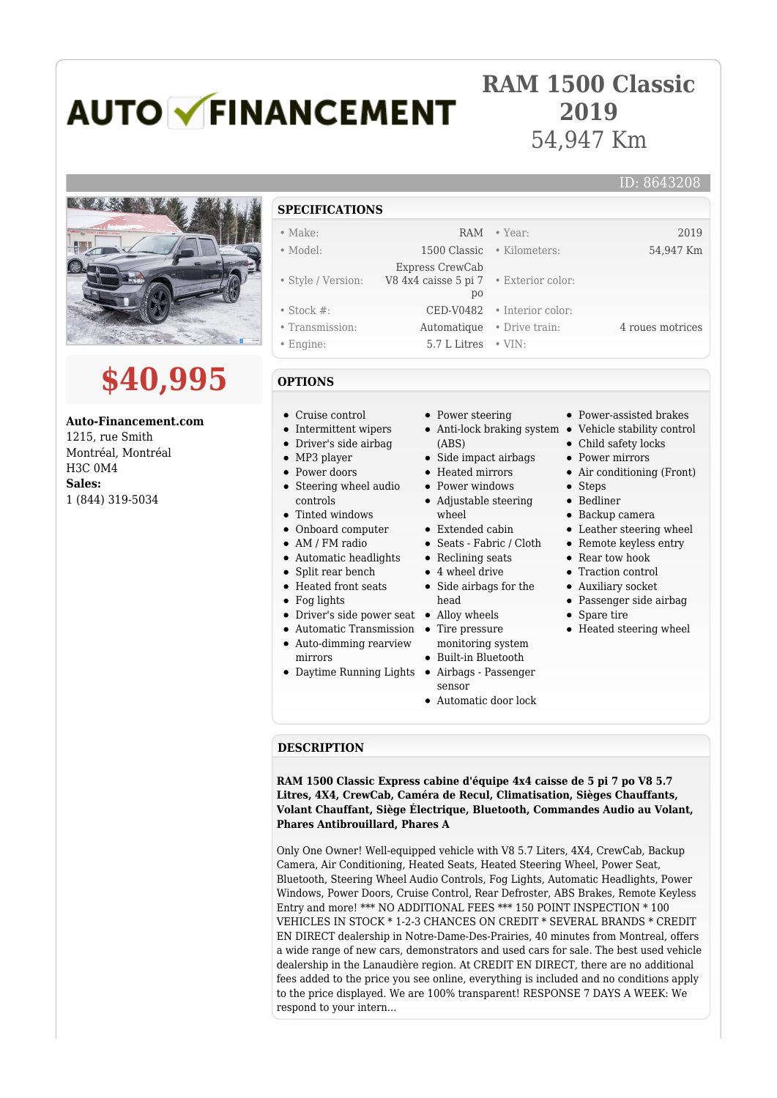# **AUTO V FINANCEMENT**

## **RAM 1500 Classic 2019** 54,947 Km

# **\$40,995**

**Auto-Financement.com** 1215, rue Smith Montréal, Montréal H3C 0M4 **Sales:** 1 (844) 319-5034

### ID: 8643208 **SPECIFICATIONS** • Make: 2019 RAM • Year: 2019 • Model: 1500 Classic • Kilometers: 54,947 Km • Style / Version: Express CrewCab V8 4x4 caisse 5 pi 7 po • Exterior color: • Stock #: CED-V0482 • Interior color: • Transmission: Automatique • Drive train: 4 roues motrices • Engine: 5.7 L Litres • VIN:

## **OPTIONS**

- Cruise control
- Intermittent wipers
- Driver's side airbag
- MP3 player
- Power doors
- Steering wheel audio controls
- Tinted windows
- Onboard computer
- AM / FM radio
- Automatic headlights
- Split rear bench
- 
- 
- 
- -
- mirrors
- 
- Power steering
- (ABS)
- Side impact airbags
- Heated mirrors
- Power windows
- Adjustable steering
- wheel
- 
- 
- 
- 
- head
- 
- 
- monitoring system
- Built-in Bluetooth
- sensor
- Automatic door lock
- Power-assisted brakes
- Anti-lock braking system Vehicle stability control
	- Child safety locks
	- Power mirrors
		- Air conditioning (Front)
		- Steps
		- Bedliner
		- Backup camera
		- Leather steering wheel
		- Remote keyless entry
	- Rear tow hook
	- Traction control
	- Auxiliary socket
	- Passenger side airbag
	- Spare tire
	- Heated steering wheel

#### **DESCRIPTION**

**RAM 1500 Classic Express cabine d'équipe 4x4 caisse de 5 pi 7 po V8 5.7 Litres, 4X4, CrewCab, Caméra de Recul, Climatisation, Sièges Chauffants, Volant Chauffant, Siège Électrique, Bluetooth, Commandes Audio au Volant, Phares Antibrouillard, Phares A**

Only One Owner! Well-equipped vehicle with V8 5.7 Liters, 4X4, CrewCab, Backup Camera, Air Conditioning, Heated Seats, Heated Steering Wheel, Power Seat, Bluetooth, Steering Wheel Audio Controls, Fog Lights, Automatic Headlights, Power Windows, Power Doors, Cruise Control, Rear Defroster, ABS Brakes, Remote Keyless Entry and more! \*\*\* NO ADDITIONAL FEES \*\*\* 150 POINT INSPECTION \* 100 VEHICLES IN STOCK \* 1-2-3 CHANCES ON CREDIT \* SEVERAL BRANDS \* CREDIT EN DIRECT dealership in Notre-Dame-Des-Prairies, 40 minutes from Montreal, offers a wide range of new cars, demonstrators and used cars for sale. The best used vehicle dealership in the Lanaudière region. At CREDIT EN DIRECT, there are no additional fees added to the price you see online, everything is included and no conditions apply to the price displayed. We are 100% transparent! RESPONSE 7 DAYS A WEEK: We respond to your intern...

Automatic Transmission

- Auto-dimming rearview
- Daytime Running Lights Airbags Passenger
- -
	-
	-
- Extended cabin Seats - Fabric / Cloth • Reclining seats
	- 4 wheel drive
	- Side airbags for the
	-
	- Tire pressure
		-
		- -

- 
- 
- Heated front seats
- Fog lights
- Driver's side power seat Alloy wheels